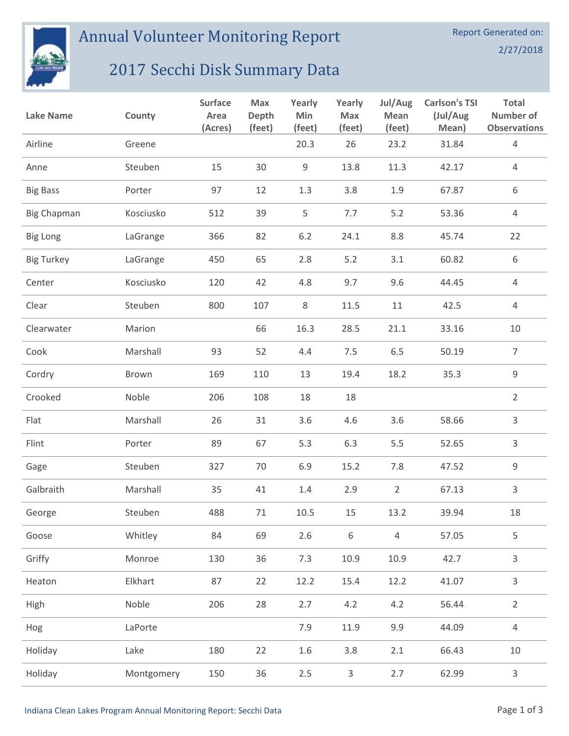

Annual Volunteer Monitoring Report

## 2/27/2018

## 2017 Secchi Disk Summary Data

| <b>Lake Name</b>   | County     | <b>Surface</b><br>Area<br>(Acres) | Max<br>Depth<br>(feet) | Yearly<br>Min<br>(feet) | Yearly<br>Max<br>(feet) | Jul/Aug<br>Mean<br>(feet) | <b>Carlson's TSI</b><br>(Jul/Aug<br>Mean) | <b>Total</b><br>Number of<br><b>Observations</b> |
|--------------------|------------|-----------------------------------|------------------------|-------------------------|-------------------------|---------------------------|-------------------------------------------|--------------------------------------------------|
| Airline            | Greene     |                                   |                        | 20.3                    | 26                      | 23.2                      | 31.84                                     | $\overline{4}$                                   |
| Anne               | Steuben    | 15                                | 30                     | $\mathsf 9$             | 13.8                    | 11.3                      | 42.17                                     | $\overline{4}$                                   |
| <b>Big Bass</b>    | Porter     | 97                                | 12                     | 1.3                     | 3.8                     | 1.9                       | 67.87                                     | 6                                                |
| <b>Big Chapman</b> | Kosciusko  | 512                               | 39                     | 5                       | 7.7                     | 5.2                       | 53.36                                     | $\overline{4}$                                   |
| <b>Big Long</b>    | LaGrange   | 366                               | 82                     | 6.2                     | 24.1                    | 8.8                       | 45.74                                     | 22                                               |
| <b>Big Turkey</b>  | LaGrange   | 450                               | 65                     | 2.8                     | 5.2                     | 3.1                       | 60.82                                     | 6                                                |
| Center             | Kosciusko  | 120                               | 42                     | 4.8                     | 9.7                     | 9.6                       | 44.45                                     | $\overline{4}$                                   |
| Clear              | Steuben    | 800                               | 107                    | 8                       | 11.5                    | 11                        | 42.5                                      | $\overline{4}$                                   |
| Clearwater         | Marion     |                                   | 66                     | 16.3                    | 28.5                    | 21.1                      | 33.16                                     | 10                                               |
| Cook               | Marshall   | 93                                | 52                     | 4.4                     | 7.5                     | 6.5                       | 50.19                                     | $\overline{7}$                                   |
| Cordry             | Brown      | 169                               | 110                    | 13                      | 19.4                    | 18.2                      | 35.3                                      | 9                                                |
| Crooked            | Noble      | 206                               | 108                    | 18                      | 18                      |                           |                                           | $\overline{2}$                                   |
| Flat               | Marshall   | 26                                | 31                     | 3.6                     | 4.6                     | 3.6                       | 58.66                                     | 3                                                |
| Flint              | Porter     | 89                                | 67                     | 5.3                     | 6.3                     | 5.5                       | 52.65                                     | 3                                                |
| Gage               | Steuben    | 327                               | 70                     | 6.9                     | 15.2                    | 7.8                       | 47.52                                     | 9                                                |
| Galbraith          | Marshall   | 35                                | 41                     | 1.4                     | 2.9                     | $\overline{2}$            | 67.13                                     | 3                                                |
| George             | Steuben    | 488                               | 71                     | 10.5                    | 15                      | 13.2                      | 39.94                                     | 18                                               |
| Goose              | Whitley    | 84                                | 69                     | 2.6                     | $\,6\,$                 | $\overline{4}$            | 57.05                                     | 5                                                |
| Griffy             | Monroe     | 130                               | 36                     | 7.3                     | 10.9                    | 10.9                      | 42.7                                      | 3                                                |
| Heaton             | Elkhart    | 87                                | 22                     | 12.2                    | 15.4                    | 12.2                      | 41.07                                     | 3                                                |
| High               | Noble      | 206                               | 28                     | 2.7                     | 4.2                     | 4.2                       | 56.44                                     | $\overline{2}$                                   |
| Hog                | LaPorte    |                                   |                        | 7.9                     | 11.9                    | 9.9                       | 44.09                                     | $\overline{4}$                                   |
| Holiday            | Lake       | 180                               | 22                     | 1.6                     | 3.8                     | 2.1                       | 66.43                                     | 10                                               |
| Holiday            | Montgomery | 150                               | 36                     | $2.5\,$                 | $\mathsf{3}$            | 2.7                       | 62.99                                     | $\mathsf{3}$                                     |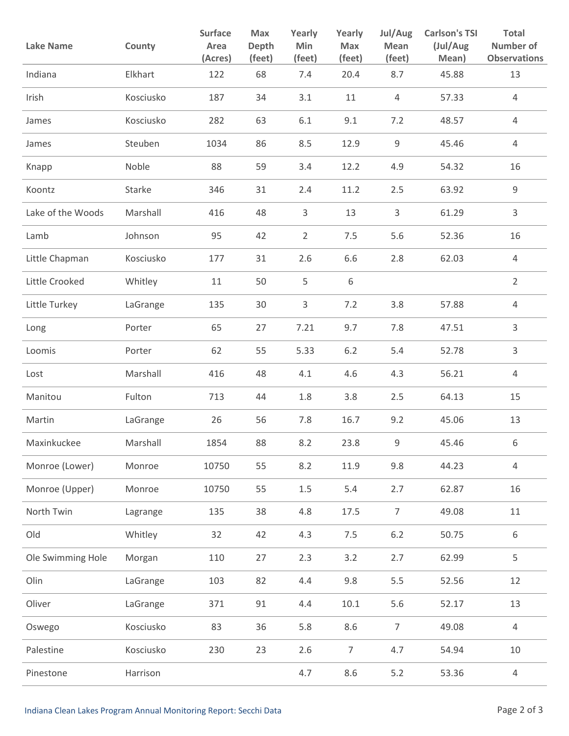| <b>Lake Name</b>  | County    | <b>Surface</b><br>Area<br>(Acres) | Max<br>Depth<br>(feet) | Yearly<br>Min<br>(feet) | Yearly<br><b>Max</b><br>(feet) | Jul/Aug<br>Mean<br>(feet) | <b>Carlson's TSI</b><br>(Jul/Aug<br>Mean) | <b>Total</b><br>Number of<br><b>Observations</b> |
|-------------------|-----------|-----------------------------------|------------------------|-------------------------|--------------------------------|---------------------------|-------------------------------------------|--------------------------------------------------|
| Indiana           | Elkhart   | 122                               | 68                     | 7.4                     | 20.4                           | 8.7                       | 45.88                                     | 13                                               |
| Irish             | Kosciusko | 187                               | 34                     | 3.1                     | 11                             | 4                         | 57.33                                     | 4                                                |
| James             | Kosciusko | 282                               | 63                     | 6.1                     | 9.1                            | 7.2                       | 48.57                                     | $\overline{4}$                                   |
| James             | Steuben   | 1034                              | 86                     | 8.5                     | 12.9                           | 9                         | 45.46                                     | $\overline{4}$                                   |
| Knapp             | Noble     | 88                                | 59                     | 3.4                     | 12.2                           | 4.9                       | 54.32                                     | 16                                               |
| Koontz            | Starke    | 346                               | 31                     | 2.4                     | 11.2                           | 2.5                       | 63.92                                     | $\mathsf 9$                                      |
| Lake of the Woods | Marshall  | 416                               | 48                     | 3                       | 13                             | 3                         | 61.29                                     | $\mathsf{3}$                                     |
| Lamb              | Johnson   | 95                                | 42                     | $\overline{2}$          | 7.5                            | 5.6                       | 52.36                                     | 16                                               |
| Little Chapman    | Kosciusko | 177                               | 31                     | 2.6                     | 6.6                            | 2.8                       | 62.03                                     | $\overline{4}$                                   |
| Little Crooked    | Whitley   | 11                                | 50                     | 5                       | 6                              |                           |                                           | $\overline{2}$                                   |
| Little Turkey     | LaGrange  | 135                               | 30                     | 3                       | 7.2                            | 3.8                       | 57.88                                     | $\overline{4}$                                   |
| Long              | Porter    | 65                                | 27                     | 7.21                    | 9.7                            | 7.8                       | 47.51                                     | 3                                                |
| Loomis            | Porter    | 62                                | 55                     | 5.33                    | 6.2                            | 5.4                       | 52.78                                     | 3                                                |
| Lost              | Marshall  | 416                               | 48                     | 4.1                     | 4.6                            | 4.3                       | 56.21                                     | 4                                                |
| Manitou           | Fulton    | 713                               | 44                     | 1.8                     | 3.8                            | 2.5                       | 64.13                                     | 15                                               |
| Martin            | LaGrange  | 26                                | 56                     | 7.8                     | 16.7                           | 9.2                       | 45.06                                     | 13                                               |
| Maxinkuckee       | Marshall  | 1854                              | 88                     | 8.2                     | 23.8                           | 9                         | 45.46                                     | 6                                                |
| Monroe (Lower)    | Monroe    | 10750                             | 55                     | 8.2                     | 11.9                           | 9.8                       | 44.23                                     | $\overline{4}$                                   |
| Monroe (Upper)    | Monroe    | 10750                             | 55                     | $1.5\,$                 | 5.4                            | 2.7                       | 62.87                                     | 16                                               |
| North Twin        | Lagrange  | 135                               | 38                     | 4.8                     | 17.5                           | $\overline{7}$            | 49.08                                     | $11\,$                                           |
| Old               | Whitley   | 32                                | 42                     | 4.3                     | 7.5                            | $6.2\,$                   | 50.75                                     | 6                                                |
| Ole Swimming Hole | Morgan    | 110                               | 27                     | 2.3                     | 3.2                            | 2.7                       | 62.99                                     | 5                                                |
| Olin              | LaGrange  | 103                               | 82                     | 4.4                     | 9.8                            | 5.5                       | 52.56                                     | 12                                               |
| Oliver            | LaGrange  | 371                               | 91                     | 4.4                     | $10.1\,$                       | 5.6                       | 52.17                                     | 13                                               |
| Oswego            | Kosciusko | 83                                | 36                     | 5.8                     | 8.6                            | $\overline{7}$            | 49.08                                     | $\overline{4}$                                   |
| Palestine         | Kosciusko | 230                               | 23                     | 2.6                     | $\overline{7}$                 | 4.7                       | 54.94                                     | 10                                               |
| Pinestone         | Harrison  |                                   |                        | 4.7                     | 8.6                            | $5.2$                     | 53.36                                     | $\overline{4}$                                   |